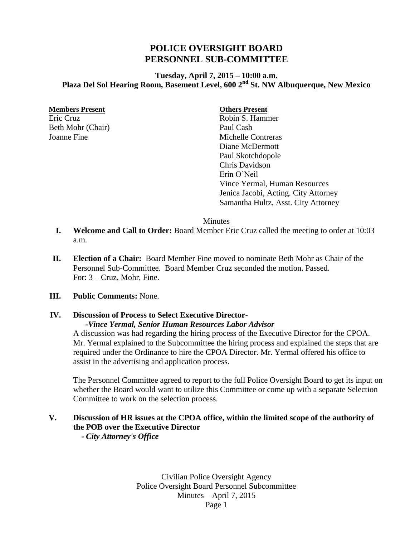# **POLICE OVERSIGHT BOARD PERSONNEL SUB-COMMITTEE**

## **Tuesday, April 7, 2015 – 10:00 a.m. Plaza Del Sol Hearing Room, Basement Level, 600 2nd St. NW Albuquerque, New Mexico**

#### **Members Present Others Present**

Beth Mohr (Chair) Paul Cash

Eric Cruz Robin S. Hammer Joanne Fine Michelle Contreras Diane McDermott Paul Skotchdopole Chris Davidson Erin O'Neil Vince Yermal, Human Resources Jenica Jacobi, Acting. City Attorney Samantha Hultz, Asst. City Attorney

Minutes

- **I. Welcome and Call to Order:** Board Member Eric Cruz called the meeting to order at 10:03 a.m.
- **II. Election of a Chair:** Board Member Fine moved to nominate Beth Mohr as Chair of the Personnel Sub-Committee. Board Member Cruz seconded the motion. Passed. For: 3 – Cruz, Mohr, Fine.
- **III. Public Comments:** None.

## **IV. Discussion of Process to Select Executive Director-**

#### **-***Vince Yermal, Senior Human Resources Labor Advisor*

A discussion was had regarding the hiring process of the Executive Director for the CPOA. Mr. Yermal explained to the Subcommittee the hiring process and explained the steps that are required under the Ordinance to hire the CPOA Director. Mr. Yermal offered his office to assist in the advertising and application process.

The Personnel Committee agreed to report to the full Police Oversight Board to get its input on whether the Board would want to utilize this Committee or come up with a separate Selection Committee to work on the selection process.

## **V. Discussion of HR issues at the CPOA office, within the limited scope of the authority of the POB over the Executive Director**

 **-** *City Attorney's Office*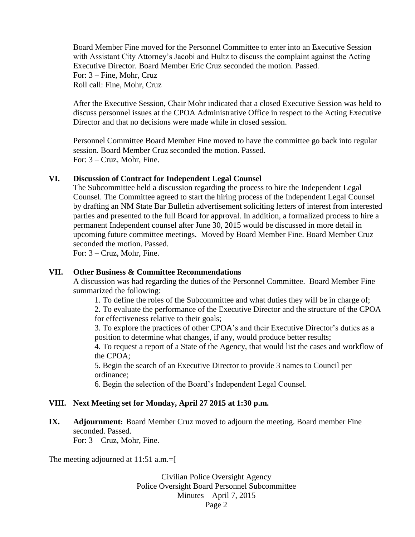Board Member Fine moved for the Personnel Committee to enter into an Executive Session with Assistant City Attorney's Jacobi and Hultz to discuss the complaint against the Acting Executive Director. Board Member Eric Cruz seconded the motion. Passed. For: 3 – Fine, Mohr, Cruz Roll call: Fine, Mohr, Cruz

After the Executive Session, Chair Mohr indicated that a closed Executive Session was held to discuss personnel issues at the CPOA Administrative Office in respect to the Acting Executive Director and that no decisions were made while in closed session.

Personnel Committee Board Member Fine moved to have the committee go back into regular session. Board Member Cruz seconded the motion. Passed. For: 3 – Cruz, Mohr, Fine.

## **VI. Discussion of Contract for Independent Legal Counsel**

The Subcommittee held a discussion regarding the process to hire the Independent Legal Counsel. The Committee agreed to start the hiring process of the Independent Legal Counsel by drafting an NM State Bar Bulletin advertisement soliciting letters of interest from interested parties and presented to the full Board for approval. In addition, a formalized process to hire a permanent Independent counsel after June 30, 2015 would be discussed in more detail in upcoming future committee meetings. Moved by Board Member Fine. Board Member Cruz seconded the motion. Passed.

For: 3 – Cruz, Mohr, Fine.

#### **VII. Other Business & Committee Recommendations**

A discussion was had regarding the duties of the Personnel Committee. Board Member Fine summarized the following:

1. To define the roles of the Subcommittee and what duties they will be in charge of;

2. To evaluate the performance of the Executive Director and the structure of the CPOA for effectiveness relative to their goals;

3. To explore the practices of other CPOA's and their Executive Director's duties as a position to determine what changes, if any, would produce better results;

4. To request a report of a State of the Agency, that would list the cases and workflow of the CPOA;

5. Begin the search of an Executive Director to provide 3 names to Council per ordinance;

6. Begin the selection of the Board's Independent Legal Counsel.

## **VIII. Next Meeting set for Monday, April 27 2015 at 1:30 p.m.**

**IX. Adjournment:** Board Member Cruz moved to adjourn the meeting. Board member Fine seconded. Passed. For: 3 – Cruz, Mohr, Fine.

The meeting adjourned at 11:51 a.m.=[

Civilian Police Oversight Agency Police Oversight Board Personnel Subcommittee Minutes – April 7, 2015 Page 2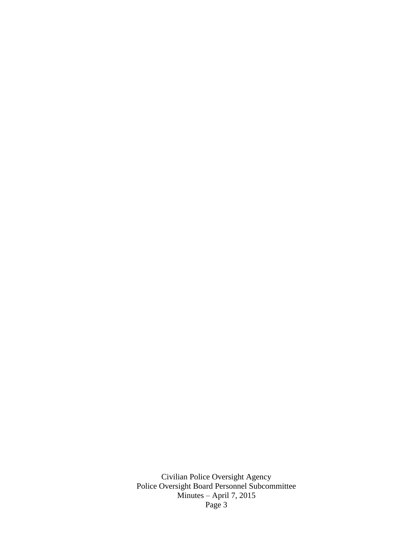Civilian Police Oversight Agency Police Oversight Board Personnel Subcommittee Minutes – April 7, 2015 Page 3